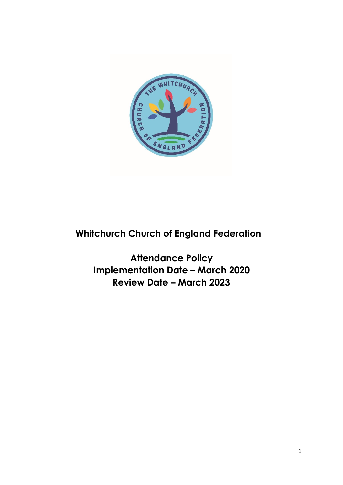

# **Whitchurch Church of England Federation**

**Attendance Policy Implementation Date – March 2020 Review Date – March 2023**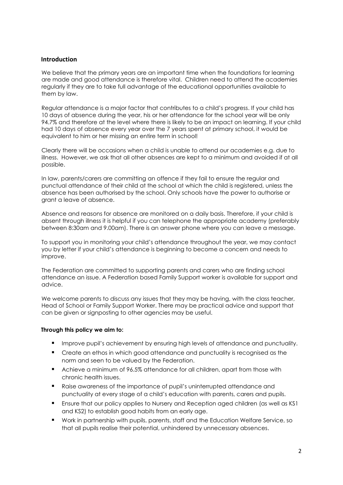#### **Introduction**

We believe that the primary years are an important time when the foundations for learning are made and good attendance is therefore vital. Children need to attend the academies regularly if they are to take full advantage of the educational opportunities available to them by law.

Regular attendance is a major factor that contributes to a child's progress. If your child has 10 days of absence during the year, his or her attendance for the school year will be only 94.7% and therefore at the level where there is likely to be an impact on learning. If your child had 10 days of absence every year over the 7 years spent at primary school, it would be equivalent to him or her missing an entire term in school!

Clearly there will be occasions when a child is unable to attend our academies e.g. due to illness. However, we ask that all other absences are kept to a minimum and avoided if at all possible.

In law, parents/carers are committing an offence if they fail to ensure the regular and punctual attendance of their child at the school at which the child is registered, unless the absence has been authorised by the school. Only schools have the power to authorise or grant a leave of absence.

Absence and reasons for absence are monitored on a daily basis. Therefore, if your child is absent through illness it is helpful if you can telephone the appropriate academy (preferably between 8:30am and 9.00am). There is an answer phone where you can leave a message.

To support you in monitoring your child's attendance throughout the year, we may contact you by letter if your child's attendance is beginning to become a concern and needs to improve.

The Federation are committed to supporting parents and carers who are finding school attendance an issue. A Federation based Family Support worker is available for support and advice.

We welcome parents to discuss any issues that they may be having, with the class teacher, Head of School or Family Support Worker. There may be practical advice and support that can be given or signposting to other agencies may be useful.

#### **Through this policy we aim to:**

- **IMPROVE pupil's achievement by ensuring high levels of attendance and punctuality.**
- Create an ethos in which good attendance and punctuality is recognised as the norm and seen to be valued by the Federation.
- Achieve a minimum of 96.5% attendance for all children, apart from those with chronic health issues.
- **Raise awareness of the importance of pupil's uninterrupted attendance and** punctuality at every stage of a child's education with parents, carers and pupils.
- Ensure that our policy applies to Nursery and Reception aged children (as well as KS1 and KS2) to establish good habits from an early age.
- Work in partnership with pupils, parents, staff and the Education Welfare Service, so that all pupils realise their potential, unhindered by unnecessary absences.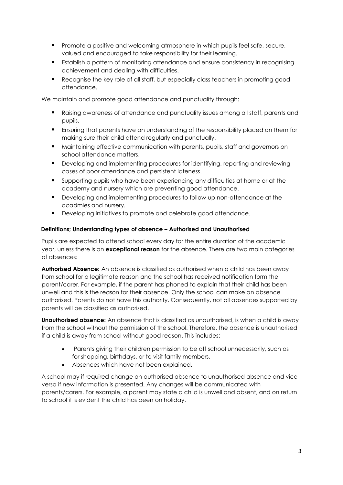- **Promote a positive and welcoming atmosphere in which pupils feel safe, secure,** valued and encouraged to take responsibility for their learning.
- Establish a pattern of monitoring attendance and ensure consistency in recognising achievement and dealing with difficulties.
- Recognise the key role of all staff, but especially class teachers in promoting good attendance.

We maintain and promote good attendance and punctuality through:

- Raising awareness of attendance and punctuality issues among all staff, parents and pupils.
- Ensuring that parents have an understanding of the responsibility placed on them for making sure their child attend regularly and punctually.
- **Maintaining effective communication with parents, pupils, staff and governors on** school attendance matters.
- **•** Developing and implementing procedures for identifying, reporting and reviewing cases of poor attendance and persistent lateness.
- Supporting pupils who have been experiencing any difficulties at home or at the academy and nursery which are preventing good attendance.
- **Developing and implementing procedures to follow up non-attendance at the** acadmies and nursery.
- **Developing initiatives to promote and celebrate good attendance.**

# **Definitions; Understanding types of absence – Authorised and Unauthorised**

Pupils are expected to attend school every day for the entire duration of the academic year, unless there is an **exceptional reason** for the absence. There are two main categories of absences:

**Authorised Absence:** An absence is classified as authorised when a child has been away from school for a legitimate reason and the school has received notification form the parent/carer. For example, if the parent has phoned to explain that their child has been unwell and this is the reason for their absence. Only the school can make an absence authorised. Parents do not have this authority. Consequently, not all absences supported by parents will be classified as authorised.

**Unauthorised absence:** An absence that is classified as unauthorised, is when a child is away from the school without the permission of the school. Therefore, the absence is unauthorised if a child is away from school without good reason. This includes:

- Parents giving their children permission to be off school unnecessarily, such as for shopping, birthdays, or to visit family members.
- Absences which have not been explained.

A school may if required change an authorised absence to unauthorised absence and vice versa if new information is presented. Any changes will be communicated with parents/carers. For example, a parent may state a child is unwell and absent, and on return to school it is evident the child has been on holiday.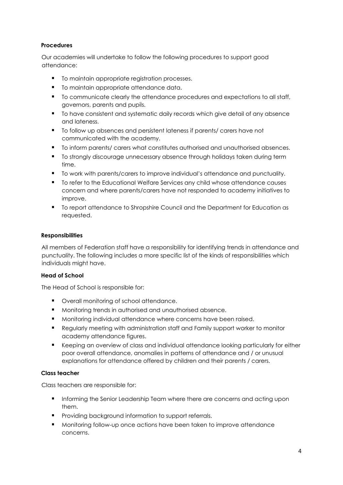# **Procedures**

Our academies will undertake to follow the following procedures to support good attendance:

- $\blacksquare$  To maintain appropriate registration processes.
- To maintain appropriate attendance data.
- $\blacksquare$  To communicate clearly the attendance procedures and expectations to all staff, governors, parents and pupils.
- To have consistent and systematic daily records which give detail of any absence and lateness.
- To follow up absences and persistent lateness if parents/ carers have not communicated with the academy.
- To inform parents/ carers what constitutes authorised and unauthorised absences.
- **The strongly discourage unnecessary absence through holidays taken during term** time.
- $\blacksquare$  To work with parents/carers to improve individual's attendance and punctuality.
- To refer to the Educational Welfare Services any child whose attendance causes concern and where parents/carers have not responded to academy initiatives to improve.
- **The Form is a to the Council and the Department for Education as**  To report attendance to Shropshire Council and the Department for Education as requested.

#### **Responsibilities**

All members of Federation staff have a responsibility for identifying trends in attendance and punctuality. The following includes a more specific list of the kinds of responsibilities which individuals might have.

# **Head of School**

The Head of School is responsible for:

- Overall monitoring of school attendance.
- **Monitoring trends in authorised and unauthorised absence.**
- **Monitoring individual attendance where concerns have been raised.**
- Regularly meeting with administration staff and Family support worker to monitor academy attendance figures.
- E Keeping an overview of class and individual attendance looking particularly for either poor overall attendance, anomalies in patterns of attendance and / or unusual explanations for attendance offered by children and their parents / carers.

# **Class teacher**

Class teachers are responsible for:

- **Informing the Senior Leadership Team where there are concerns and acting upon** them.
- **Providing background information to support referrals.**
- **Monitoring follow-up once actions have been taken to improve attendance** concerns.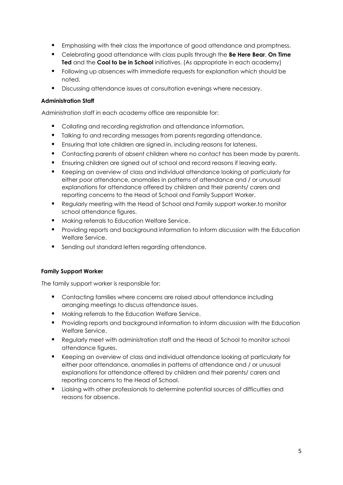- **Emphasising with their class the importance of good attendance and promptness.**
- Celebrating good attendance with class pupils through the **Be Here Bear**, **On Time Ted** and the **Cool to be in School** initiatives. (As appropriate in each academy)
- **Following up absences with immediate requests for explanation which should be** noted.
- Discussing attendance issues at consultation evenings where necessary.

# **Administration Staff**

Administration staff in each academy office are responsible for:

- **Collating and recording registration and attendance information.**
- $\blacksquare$  Talking to and recording messages from parents regarding attendance.
- Ensuring that late children are signed in, including reasons for lateness.
- **Contacting parents of absent children where no contact has been made by parents.**
- Ensuring children are signed out of school and record reasons if leaving early.
- Keeping an overview of class and individual attendance looking at particularly for either poor attendance, anomalies in patterns of attendance and / or unusual explanations for attendance offered by children and their parents/ carers and reporting concerns to the Head of School and Family Support Worker.
- Regularly meeting with the Head of School and Family support worker.to monitor school attendance figures.
- Making referrals to Education Welfare Service.
- **Providing reports and background information to inform discussion with the Education** Welfare Service.
- Sending out standard letters regarding attendance.

# **Family Support Worker**

The family support worker is responsible for:

- **Contacting families where concerns are raised about attendance including** arranging meetings to discuss attendance issues.
- **Making referrals to the Education Welfare Service.**
- **Providing reports and background information to inform discussion with the Education** Welfare Service.
- Regularly meet with administration staff and the Head of School to monitor school attendance figures.
- Keeping an overview of class and individual attendance looking at particularly for either poor attendance, anomalies in patterns of attendance and / or unusual explanations for attendance offered by children and their parents/ carers and reporting concerns to the Head of School.
- **E** Liaising with other professionals to determine potential sources of difficulties and reasons for absence.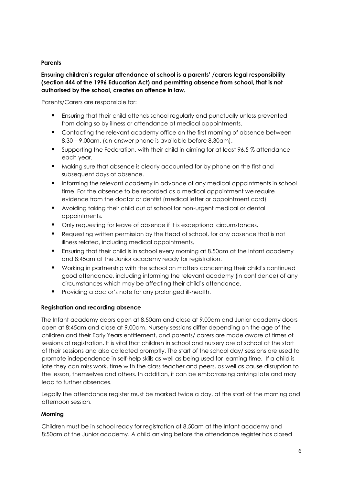# **Parents**

# **Ensuring children's regular attendance at school is a parents' /carers legal responsibility (section 444 of the 1996 Education Act) and permitting absence from school, that is not authorised by the school, creates an offence in law.**

Parents/Carers are responsible for:

- **Ensuring that their child attends school regularly and punctually unless prevented** from doing so by illness or attendance at medical appointments.
- **•** Contacting the relevant academy office on the first morning of absence between 8.30 – 9.00am. (an answer phone is available before 8.30am).
- Supporting the Federation, with their child in aiming for at least 96.5 % attendance each year.
- **Making sure that absence is clearly accounted for by phone on the first and** subsequent days of absence.
- **Informing the relevant academy in advance of any medical appointments in school** time. For the absence to be recorded as a medical appointment we require evidence from the doctor or dentist (medical letter or appointment card)
- Avoiding taking their child out of school for non-urgent medical or dental appointments.
- Only requesting for leave of absence if it is exceptional circumstances.
- Requesting written permission by the Head of school, for any absence that is not illness related, including medical appointments.
- Ensuring that their child is in school every morning at 8.50am at the Infant academy and 8:45am at the Junior academy ready for registration.
- Working in partnership with the school on matters concerning their child's continued good attendance, including informing the relevant academy (in confidence) of any circumstances which may be affecting their child's attendance.
- **Providing a doctor's note for any prolonged ill-health.**

# **Registration and recording absence**

The Infant academy doors open at 8.50am and close at 9.00am and Junior academy doors open at 8:45am and close at 9.00am. Nursery sessions differ depending on the age of the children and their Early Years entitlement, and parents/ carers are made aware of times of sessions at registration. It is vital that children in school and nursery are at school at the start of their sessions and also collected promptly. The start of the school day/ sessions are used to promote independence in self-help skills as well as being used for learning time. If a child is late they can miss work, time with the class teacher and peers, as well as cause disruption to the lesson, themselves and others. In addition, it can be embarrassing arriving late and may lead to further absences.

Legally the attendance register must be marked twice a day, at the start of the morning and afternoon session.

# **Morning**

Children must be in school ready for registration at 8.50am at the Infant academy and 8:50am at the Junior academy. A child arriving before the attendance register has closed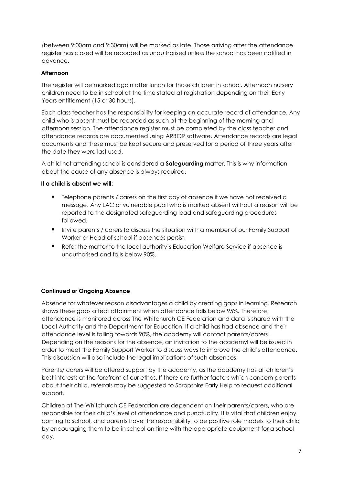(between 9:00am and 9:30am) will be marked as late. Those arriving after the attendance register has closed will be recorded as unauthorised unless the school has been notified in advance.

# **Afternoon**

The register will be marked again after lunch for those children in school. Afternoon nursery children need to be in school at the time stated at registration depending on their Early Years entitlement (15 or 30 hours).

Each class teacher has the responsibility for keeping an accurate record of attendance. Any child who is absent must be recorded as such at the beginning of the morning and afternoon session. The attendance register must be completed by the class teacher and attendance records are documented using ARBOR software. Attendance records are legal documents and these must be kept secure and preserved for a period of three years after the date they were last used.

A child not attending school is considered a **Safeguarding** matter. This is why information about the cause of any absence is always required.

# **If a child is absent we will:**

- **Telephone parents / carers on the first day of absence if we have not received a** message. Any LAC or vulnerable pupil who is marked absent without a reason will be reported to the designated safeguarding lead and safeguarding procedures followed.
- **Invite parents / carers to discuss the situation with a member of our Family Support** Worker or Head of school if absences persist.
- Refer the matter to the local authority's Education Welfare Service if absence is unauthorised and falls below 90%.

# **Continued or Ongoing Absence**

Absence for whatever reason disadvantages a child by creating gaps in learning. Research shows these gaps affect attainment when attendance falls below 95%. Therefore, attendance is monitored across The Whitchurch CE Federation and data is shared with the Local Authority and the Department for Education. If a child has had absence and their attendance level is falling towards 90%, the academy will contact parents/carers. Depending on the reasons for the absence, an invitation to the academyl will be issued in order to meet the Family Support Worker to discuss ways to improve the child's attendance. This discussion will also include the legal implications of such absences.

Parents/ carers will be offered support by the academy, as the academy has all children's best interests at the forefront of our ethos. If there are further factors which concern parents about their child, referrals may be suggested to Shropshire Early Help to request additional support.

Children at The Whitchurch CE Federation are dependent on their parents/carers, who are responsible for their child's level of attendance and punctuality. It is vital that children enjoy coming to school, and parents have the responsibility to be positive role models to their child by encouraging them to be in school on time with the appropriate equipment for a school day.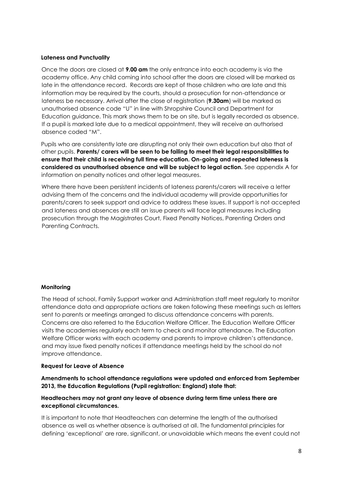#### **Lateness and Punctuality**

Once the doors are closed at **9.00 am** the only entrance into each academy is via the academy office. Any child coming into school after the doors are closed will be marked as late in the attendance record. Records are kept of those children who are late and this information may be required by the courts, should a prosecution for non-attendance or lateness be necessary. Arrival after the close of registration (**9.30am**) will be marked as unauthorised absence code "U" in line with Shropshire Council and Department for Education guidance. This mark shows them to be on site, but is legally recorded as absence. If a pupil is marked late due to a medical appointment, they will receive an authorised absence coded "M".

Pupils who are consistently late are disrupting not only their own education but also that of other pupils. **Parents/ carers will be seen to be failing to meet their legal responsibilities to ensure that their child is receiving full time education. On-going and repeated lateness is considered as unauthorised absence and will be subject to legal action.** See appendix A for information on penalty notices and other legal measures.

Where there have been persistent incidents of lateness parents/carers will receive a letter advising them of the concerns and the individual academy will provide opportunities for parents/carers to seek support and advice to address these issues. If support is not accepted and lateness and absences are still an issue parents will face legal measures including prosecution through the Magistrates Court, Fixed Penalty Notices, Parenting Orders and Parenting Contracts.

# **Monitoring**

The Head of school, Family Support worker and Administration staff meet regularly to monitor attendance data and appropriate actions are taken following these meetings such as letters sent to parents or meetings arranged to discuss attendance concerns with parents. Concerns are also referred to the Education Welfare Officer. The Education Welfare Officer visits the academies regularly each term to check and monitor attendance. The Education Welfare Officer works with each academy and parents to improve children's attendance, and may issue fixed penalty notices if attendance meetings held by the school do not improve attendance.

#### **Request for Leave of Absence**

**Amendments to school attendance regulations were updated and enforced from September 2013, the Education Regulations (Pupil registration: England) state that:** 

#### **Headteachers may not grant any leave of absence during term time unless there are exceptional circumstances.**

It is important to note that Headteachers can determine the length of the authorised absence as well as whether absence is authorised at all. The fundamental principles for defining 'exceptional' are rare, significant, or unavoidable which means the event could not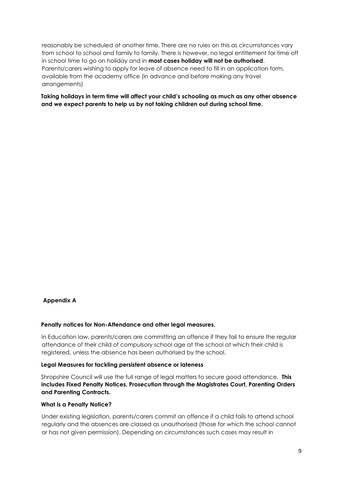reasonably be scheduled at another time. There are no rules on this as circumstances vary from school to school and family to family. There is however, no legal entitlement for time off in school time to go on holiday and in **most cases holiday will not be authorised**. Parents/carers wishing to apply for leave of absence need to fill in an application form, available from the academy office (in advance and before making any travel arrangements)

**Taking holidays in term time will affect your child's schooling as much as any other absence and we expect parents to help us by not taking children out during school time.** 

#### **Appendix A**

#### **Penalty notices for Non-Attendance and other legal measures.**

In Education law, parents/carers are committing an offence if they fail to ensure the regular attendance of their child of compulsory school age at the school at which their child is registered, unless the absence has been authorised by the school.

#### **Legal Measures for tackling persistent absence or lateness**

Shropshire Council will use the full range of legal matters to secure good attendance. **This includes Fixed Penalty Notices, Prosecution through the Magistrates Court, Parenting Orders and Parenting Contracts.** 

#### **What is a Penalty Notice?**

Under existing legislation, parents/carers commit an offence if a child fails to attend school regularly and the absences are classed as unauthorised (those for which the school cannot or has not given permission). Depending on circumstances such cases may result in